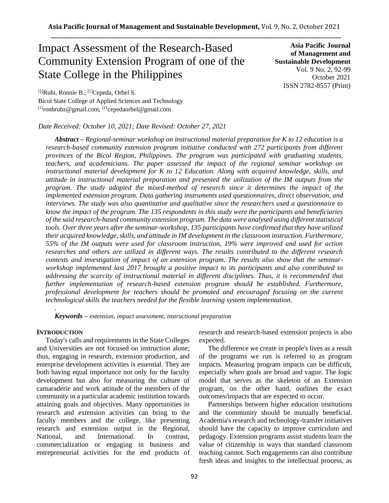# Impact Assessment of the Research-Based Community Extension Program of one of the State College in the Philippines

**Asia Pacific Journal of Management and Sustainable Development**  Vol. 9 No. 2, 92-99 October 2021 ISSN 2782-8557 (Print)

[1]Rubi, Ronnie B., [2]Cepeda, Orbel S. Bicol State College of Applied Sciences and Technology  $[1]$ ronbrubz@gmail.com,  $[2]$ cepedaorbel@gmail.com

# *Date Received: October 10, 2021; Date Revised: October 27, 2021*

*Abstract – Regional-seminar workshop on instructional material preparation for K to 12 education is a research-based community extension program initiative conducted with 272 participants from different provinces of the Bicol Region, Philippines. The program was participated with graduating students, teachers, and academicians. The paper assessed the impact of the regional seminar workshop on instructional material development for K to 12 Education. Along with acquired knowledge, skills, and attitude in instructional material preparation and presented the utilization of the IM outputs from the program. The study adopted the mixed-method of research since it determines the impact of the implemented extension program. Data gathering instruments used questionnaires, direct observation, and interviews. The study was also quantitative and qualitative since the researchers used a questionnaire to know the impact of the program. The 135 respondents in this study were the participants and beneficiaries of the said research-based community extension program. The data were analysed using different statistical tools. Over three years after the seminar-workshop, 135 participants have confirmed that they have utilized their acquired knowledge, skills, and attitude in IM development in the classroom instruction. Furthermore, 55% of the IM outputs were used for classroom instruction, 19% were improved and used for action researches and others are utilized in different ways. The results contributed to the different research contexts and investigation of impact of an extension program. The results also show that the seminarworkshop implemented last 2017 brought a positive impact to its participants and also contributed to addressing the scarcity of instructional material in different disciplines. Thus, it is recommended that further implementation of research-based extension program should be established. Furthermore, professional development for teachers should be promoted and encouraged focusing on the current technological skills the teachers needed for the flexible learning system implementation.*

*Keywords – extension, impact assessment, instructional preparation*

## **INTRODUCTION**

*.*

Today's calls and requirements in the State Colleges and Universities are not focused on instruction alone; thus, engaging in research, extension production, and enterprise development activities is essential. They are both having equal importance not only for the faculty development but also for measuring the culture of camaraderie and work attitude of the members of the community in a particular academic institution towards attaining goals and objectives. Many opportunities in research and extension activities can bring to the faculty members and the college, like presenting research and extension output in the Regional, National, and International. In contrast, commercialization or engaging in business and entrepreneurial activities for the end products of research and research-based extension projects is also expected.

The difference we create in people's lives as a result of the programs we run is referred to as program impacts. Measuring program impacts can be difficult, especially when goals are broad and vague. The logic model that serves as the skeleton of an Extension program, on the other hand, outlines the exact outcomes/impacts that are expected to occur.

Partnerships between higher education institutions and the community should be mutually beneficial. Academia's research and technology-transfer initiatives should have the capacity to improve curriculum and pedagogy. Extension programs assist students learn the value of citizenship in ways that standard classroom teaching cannot. Such engagements can also contribute fresh ideas and insights to the intellectual process, as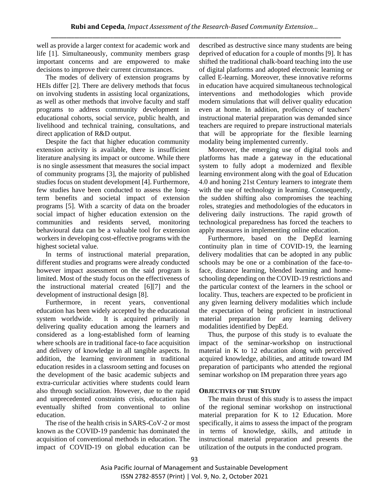well as provide a larger context for academic work and life [1]. Simultaneously, community members grasp important concerns and are empowered to make decisions to improve their current circumstances.

The modes of delivery of extension programs by HEIs differ [2]. There are delivery methods that focus on involving students in assisting local organizations, as well as other methods that involve faculty and staff programs to address community development in educational cohorts, social service, public health, and livelihood and technical training, consultations, and direct application of R&D output.

Despite the fact that higher education community extension activity is available, there is insufficient literature analysing its impact or outcome. While there is no single assessment that measures the social impact of community programs [3], the majority of published studies focus on student development [4]. Furthermore, few studies have been conducted to assess the longterm benefits and societal impact of extension programs [5]. With a scarcity of data on the broader social impact of higher education extension on the communities and residents served, monitoring behavioural data can be a valuable tool for extension workers in developing cost-effective programs with the highest societal value.

In terms of instructional material preparation, different studies and programs were already conducted however impact assessment on the said program is limited. Most of the study focus on the effectiveness of the instructional material created [6][7] and the development of instructional design [8].

Furthermore, in recent years, conventional education has been widely accepted by the educational system worldwide. It is acquired primarily in delivering quality education among the learners and considered as a long-established form of learning where schools are in traditional face-to face acquisition and delivery of knowledge in all tangible aspects. In addition, the learning environment in traditional education resides in a classroom setting and focuses on the development of the basic academic subjects and extra-curricular activities where students could learn also through socialization. However, due to the rapid and unprecedented constraints crisis, education has eventually shifted from conventional to online education.

The rise of the health crisis in SARS-CoV-2 or most known as the COVID-19 pandemic has dominated the acquisition of conventional methods in education. The impact of COVID-19 on global education can be described as destructive since many students are being deprived of education for a couple of months [9]. It has shifted the traditional chalk-board teaching into the use of digital platforms and adopted electronic learning or called E-learning. Moreover, these innovative reforms in education have acquired simultaneous technological interventions and methodologies which provide modern simulations that will deliver quality education even at home. In addition, proficiency of teachers' instructional material preparation was demanded since teachers are required to prepare instructional materials that will be appropriate for the flexible learning modality being implemented currently.

Moreover, the emerging use of digital tools and platforms has made a gateway in the educational system to fully adopt a modernized and flexible learning environment along with the goal of Education 4.0 and honing 21st Century learners to integrate them with the use of technology in learning. Consequently, the sudden shifting also compromises the teaching roles, strategies and methodologies of the educators in delivering daily instructions. The rapid growth of technological preparedness has forced the teachers to apply measures in implementing online education.

Furthermore, based on the DepEd learning continuity plan in time of COVID-19, the learning delivery modalities that can be adopted in any public schools may be one or a combination of the face-toface, distance learning, blended learning and homeschooling depending on the COVID-19 restrictions and the particular context of the learners in the school or locality. Thus, teachers are expected to be proficient in any given learning delivery modalities which include the expectation of being proficient in instructional material preparation for any learning delivery modalities identified by DepEd.

Thus, the purpose of this study is to evaluate the impact of the seminar-workshop on instructional material in K to 12 education along with perceived acquired knowledge, abilities, and attitude toward IM preparation of participants who attended the regional seminar workshop on IM preparation three years ago

# **OBJECTIVES OF THE STUDY**

The main thrust of this study is to assess the impact of the regional seminar workshop on instructional material preparation for K to 12 Education. More specifically, it aims to assess the impact of the program in terms of knowledge, skills, and attitude in instructional material preparation and presents the utilization of the outputs in the conducted program.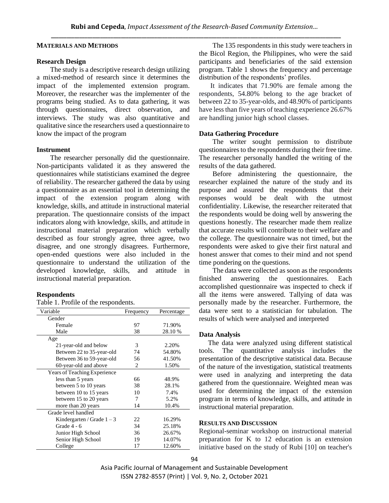## **MATERIALS AND METHODS**

#### **Research Design**

The study is a descriptive research design utilizing a mixed-method of research since it determines the impact of the implemented extension program. Moreover, the researcher was the implementer of the programs being studied. As to data gathering, it was through questionnaires, direct observation, and interviews. The study was also quantitative and qualitative since the researchers used a questionnaire to know the impact of the program

## **Instrument**

The researcher personally did the questionnaire. Non-participants validated it as they answered the questionnaires while statisticians examined the degree of reliability. The researcher gathered the data by using a questionnaire as an essential tool in determining the impact of the extension program along with knowledge, skills, and attitude in instructional material preparation. The questionnaire consists of the impact indicators along with knowledge, skills, and attitude in instructional material preparation which verbally described as four strongly agree, three agree, two disagree, and one strongly disagrees. Furthermore, open-ended questions were also included in the questionnaire to understand the utilization of the developed knowledge, skills, and attitude in instructional material preparation.

#### **Respondents**

#### Table 1. Profile of the respondents.

| Variable                     | Frequency | Percentage |
|------------------------------|-----------|------------|
| Gender                       |           |            |
| Female                       | 97        | 71.90%     |
| Male                         | 38        | 28.10 %    |
| Age                          |           |            |
| 21-year-old and below        | 3         | 2.20%      |
| Between 22 to 35-year-old    | 74        | 54.80%     |
| Between 36 to 59-year-old    | 56        | 41.50%     |
| 60-year-old and above        | 2         | 1.50%      |
| Years of Teaching Experience |           |            |
| less than 5 years            | 66        | 48.9%      |
| between 5 to 10 years        | 38        | 28.1%      |
| between 10 to 15 years       | 10        | 7.4%       |
| between 15 to 20 years       | 7         | 5.2%       |
| more than 20 years           | 14        | 10.4%      |
| Grade level handled          |           |            |
| Kindergarten / Grade $1 - 3$ | 22        | 16.29%     |
| Grade 4 - 6                  | 34        | 25.18%     |
| Junior High School           | 36        | 26.67%     |
| Senior High School           | 19        | 14.07%     |
| College                      | 17        | 12.60%     |

The 135 respondents in this study were teachers in the Bicol Region, the Philippines, who were the said participants and beneficiaries of the said extension program. Table 1 shows the frequency and percentage distribution of the respondents' profiles.

It indicates that 71.90% are female among the respondents, 54.80% belong to the age bracket of between 22 to 35-year-olds, and 48.90% of participants have less than five years of teaching experience 26.67% are handling junior high school classes.

#### **Data Gathering Procedure**

The writer sought permission to distribute questionnaires to the respondents during their free time. The researcher personally handled the writing of the results of the data gathered.

Before administering the questionnaire, the researcher explained the nature of the study and its purpose and assured the respondents that their responses would be dealt with the utmost confidentiality. Likewise, the researcher reiterated that the respondents would be doing well by answering the questions honestly. The researcher made them realize that accurate results will contribute to their welfare and the college. The questionnaire was not timed, but the respondents were asked to give their first natural and honest answer that comes to their mind and not spend time pondering on the questions.

The data were collected as soon as the respondents finished answering the questionnaires. Each accomplished questionnaire was inspected to check if all the items were answered. Tallying of data was personally made by the researcher. Furthermore, the data were sent to a statistician for tabulation. The results of which were analysed and interpreted

#### **Data Analysis**

The data were analyzed using different statistical tools. The quantitative analysis includes the presentation of the descriptive statistical data. Because of the nature of the investigation, statistical treatments were used in analyzing and interpreting the data gathered from the questionnaire. Weighted mean was used for determining the impact of the extension program in terms of knowledge, skills, and attitude in instructional material preparation.

## **RESULTS AND DISCUSSION**

Regional-seminar workshop on instructional material preparation for K to 12 education is an extension initiative based on the study of Rubi [10] on teacher's

Asia Pacific Journal of Management and Sustainable Development ISSN 2782-8557 (Print) | Vol. 9, No. 2, October 2021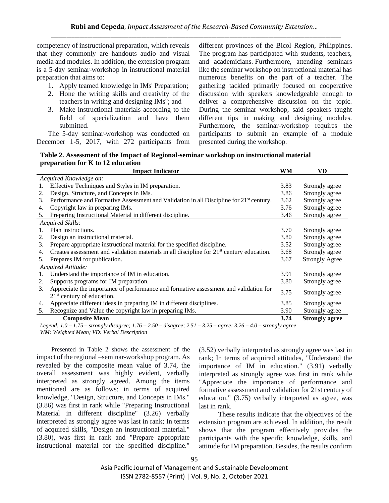competency of instructional preparation, which reveals that they commonly are handouts audio and visual media and modules. In addition, the extension program is a 5-day seminar-workshop in instructional material preparation that aims to:

- 1. Apply teamed knowledge in IMs' Preparation;
- 2. Hone the writing skills and creativity of the teachers in writing and designing IMs''; and
- 3. Make instructional materials according to the field of specialization and have them submitted.

The 5-day seminar-workshop was conducted on December 1-5, 2017, with 272 participants from different provinces of the Bicol Region, Philippines. The program has participated with students, teachers, and academicians. Furthermore, attending seminars like the seminar workshop on instructional material has numerous benefits on the part of a teacher. The gathering tackled primarily focused on cooperative discussion with speakers knowledgeable enough to deliver a comprehensive discussion on the topic. During the seminar workshop, said speakers taught different tips in making and designing modules. Furthermore, the seminar-workshop requires the participants to submit an example of a module presented during the workshop.

**Table 2. Assessment of the Impact of Regional-seminar workshop on instructional material preparation for K to 12 education**

|                        | <b>Impact Indicator</b>                                                                             | WM   | <b>VD</b>             |  |
|------------------------|-----------------------------------------------------------------------------------------------------|------|-----------------------|--|
| Acquired Knowledge on: |                                                                                                     |      |                       |  |
| 1.                     | Effective Techniques and Styles in IM preparation.                                                  | 3.83 | Strongly agree        |  |
| 2.                     | Design, Structure, and Concepts in IMs.                                                             | 3.86 | Strongly agree        |  |
| 3.                     | Performance and Formative Assessment and Validation in all Discipline for 21 <sup>st</sup> century. | 3.62 | Strongly agree        |  |
| 4.                     | Copyright law in preparing IMs.                                                                     | 3.76 | Strongly agree        |  |
| 5.                     | Preparing Instructional Material in different discipline.                                           | 3.46 | Strongly agree        |  |
|                        | Acquired Skills:                                                                                    |      |                       |  |
| 1.                     | Plan instructions.                                                                                  | 3.70 | Strongly agree        |  |
| 2.                     | Design an instructional material.                                                                   | 3.80 | Strongly agree        |  |
| 3.                     | Prepare appropriate instructional material for the specified discipline.                            | 3.52 | Strongly agree        |  |
| 4.                     | Creates assessment and validation materials in all discipline for $21st$ century education.         | 3.68 | Strongly agree        |  |
| 5.                     | Prepares IM for publication.                                                                        | 3.67 | <b>Strongly Agree</b> |  |
| Acquired Attitude:     |                                                                                                     |      |                       |  |
| 1.                     | Understand the importance of IM in education.                                                       | 3.91 | Strongly agree        |  |
| 2.                     | Supports programs for IM preparation.                                                               | 3.80 | Strongly agree        |  |
| 3.                     | Appreciate the importance of performance and formative assessment and validation for                | 3.75 |                       |  |
|                        | $21st$ century of education.                                                                        |      | Strongly agree        |  |
| 4.                     | Appreciate different ideas in preparing IM in different disciplines.                                | 3.85 | Strongly agree        |  |
| 5.                     | Recognize and Value the copyright law in preparing IMs.                                             | 3.90 | Strongly agree        |  |
|                        | <b>Composite Mean</b>                                                                               | 3.74 | <b>Strongly agree</b> |  |

*Legend: 1.0 – 1.75 – strongly disagree; 1.76 – 2.50 – disagree; 2.51 – 3.25 – agree; 3.26 – 4.0 – strongly agree WM: Weighted Mean; VD: Verbal Description*

 Presented in Table 2 shows the assessment of the impact of the regional –seminar-workshop program. As revealed by the composite mean value of 3.74, the overall assessment was highly evident, verbally interpreted as strongly agreed. Among the items mentioned are as follows: in terms of acquired knowledge, "Design, Structure, and Concepts in IMs." (3.86) was first in rank while "Preparing Instructional Material in different discipline" (3.26) verbally interpreted as strongly agree was last in rank; In terms of acquired skills, "Design an instructional material." (3.80), was first in rank and "Prepare appropriate instructional material for the specified discipline."

(3.52) verbally interpreted as strongly agree was last in rank; In terms of acquired attitudes, "Understand the importance of IM in education." (3.91) verbally interpreted as strongly agree was first in rank while "Appreciate the importance of performance and formative assessment and validation for 21st century of education." (3.75) verbally interpreted as agree, was last in rank.

 These results indicate that the objectives of the extension program are achieved. In addition, the result shows that the program effectively provides the participants with the specific knowledge, skills, and attitude for IM preparation. Besides, the results confirm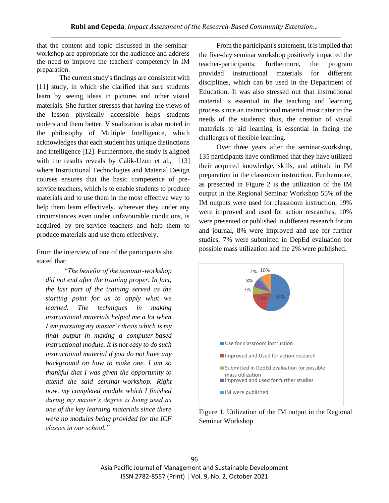that the content and topic discussed in the seminarworkshop are appropriate for the audience and address the need to improve the teachers' competency in IM preparation.

The current study's findings are consistent with [11] study, in which she clarified that sure students learn by seeing ideas in pictures and other visual materials. She further stresses that having the views of the lesson physically accessible helps students understand them better. Visualization is also rooted in the philosophy of Multiple Intelligence, which acknowledges that each student has unique distinctions and intelligence [12]. Furthermore, the study is aligned with the results reveals by Calik-Uzun et al., [13] where Instructional Technologies and Material Design courses ensures that the basic competence of preservice teachers, which is to enable students to produce materials and to use them in the most effective way to help them learn effectively, wherever they under any circumstances even under unfavourable conditions, is acquired by pre-service teachers and help them to produce materials and use them effectively.

From the interview of one of the participants she stated that:

*"The benefits of the seminar-workshop did not end after the training proper. In fact, the last part of the training served as the starting point for us to apply what we learned. The techniques in making instructional materials helped me a lot when I am pursuing my master's thesis which is my final output in making a computer-based instructional module. It is not easy to do such instructional material if you do not have any background on how to make one. I am so thankful that I was given the opportunity to attend the said seminar-workshop. Right now, my completed module which I finished during my master's degree is being used as one of the key learning materials since there were no modules being provided for the ICF classes in our school."*

 From the participant's statement, it is implied that the five-day seminar workshop positively impacted the teacher-participants; furthermore, the program provided instructional materials for different disciplines, which can be used in the Department of Education. It was also stressed out that instructional material is essential in the teaching and learning process since an instructional material must cater to the needs of the students; thus, the creation of visual materials to aid learning is essential in facing the challenges of flexible learning.

 Over three years after the seminar-workshop, 135 participants have confirmed that they have utilized their acquired knowledge, skills, and attitude in IM preparation in the classroom instruction. Furthermore, as presented in Figure 2 is the utilization of the IM output in the Regional Seminar Workshop 55% of the IM outputs were used for classroom instruction, 19% were improved and used for action researches, 10% were presented or published in different research forum and journal, 8% were improved and use for further studies, 7% were submitted in DepEd evaluation for possible mass utilization and the 2% were published.



Figure 1. Utilization of the IM output in the Regional Seminar Workshop

Asia Pacific Journal of Management and Sustainable Development ISSN 2782-8557 (Print) | Vol. 9, No. 2, October 2021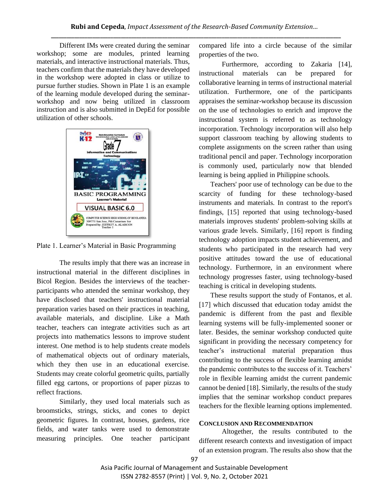Different IMs were created during the seminar workshop; some are modules, printed learning materials, and interactive instructional materials. Thus, teachers confirm that the materials they have developed in the workshop were adopted in class or utilize to pursue further studies. Shown in Plate 1 is an example of the learning module developed during the seminarworkshop and now being utilized in classroom instruction and is also submitted in DepEd for possible utilization of other schools.



Plate 1. Learner's Material in Basic Programming

The results imply that there was an increase in instructional material in the different disciplines in Bicol Region. Besides the interviews of the teacherparticipants who attended the seminar workshop, they have disclosed that teachers' instructional material preparation varies based on their practices in teaching, available materials, and discipline. Like a Math teacher, teachers can integrate activities such as art projects into mathematics lessons to improve student interest. One method is to help students create models of mathematical objects out of ordinary materials, which they then use in an educational exercise. Students may create colorful geometric quilts, partially filled egg cartons, or proportions of paper pizzas to reflect fractions.

Similarly, they used local materials such as broomsticks, strings, sticks, and cones to depict geometric figures. In contrast, houses, gardens, rice fields, and water tanks were used to demonstrate measuring principles. One teacher participant compared life into a circle because of the similar properties of the two.

Furthermore, according to Zakaria [14], instructional materials can be prepared for collaborative learning in terms of instructional material utilization. Furthermore, one of the participants appraises the seminar-workshop because its discussion on the use of technologies to enrich and improve the instructional system is referred to as technology incorporation. Technology incorporation will also help support classroom teaching by allowing students to complete assignments on the screen rather than using traditional pencil and paper. Technology incorporation is commonly used, particularly now that blended learning is being applied in Philippine schools.

Teachers' poor use of technology can be due to the scarcity of funding for these technology-based instruments and materials. In contrast to the report's findings, [15] reported that using technology-based materials improves students' problem-solving skills at various grade levels. Similarly, [16] report is finding technology adoption impacts student achievement, and students who participated in the research had very positive attitudes toward the use of educational technology. Furthermore, in an environment where technology progresses faster, using technology-based teaching is critical in developing students.

These results support the study of Fontanos, et al. [17] which discussed that education today amidst the pandemic is different from the past and flexible learning systems will be fully-implemented sooner or later. Besides, the seminar workshop conducted quite significant in providing the necessary competency for teacher's instructional material preparation thus contributing to the success of flexible learning amidst the pandemic contributes to the success of it. Teachers' role in flexible learning amidst the current pandemic cannot be denied [18]. Similarly, the results of the study implies that the seminar workshop conduct prepares teachers for the flexible learning options implemented.

## **CONCLUSION AND RECOMMENDATION**

Altogether, the results contributed to the different research contexts and investigation of impact of an extension program. The results also show that the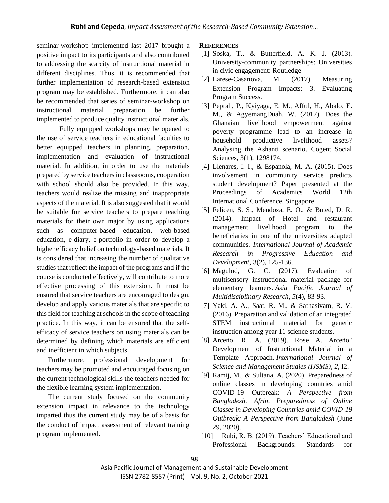seminar-workshop implemented last 2017 brought a positive impact to its participants and also contributed to addressing the scarcity of instructional material in different disciplines. Thus, it is recommended that further implementation of research-based extension program may be established. Furthermore, it can also be recommended that series of seminar-workshop on instructional material preparation be further implemented to produce quality instructional materials.

Fully equipped workshops may be opened to the use of service teachers in educational faculties to better equipped teachers in planning, preparation, implementation and evaluation of instructional material. In addition, in order to use the materials prepared by service teachers in classrooms, cooperation with school should also be provided. In this way, teachers would realize the missing and inappropriate aspects of the material. It is also suggested that it would be suitable for service teachers to prepare teaching materials for their own major by using applications such as computer-based education, web-based education, e-diary, e-portfolio in order to develop a higher efficacy belief on technology-based materials. It is considered that increasing the number of qualitative studies that reflect the impact of the programs and if the course is conducted effectively, will contribute to more effective processing of this extension. It must be ensured that service teachers are encouraged to design, develop and apply various materials that are specific to this field for teaching at schools in the scope of teaching practice. In this way, it can be ensured that the selfefficacy of service teachers on using materials can be determined by defining which materials are efficient and inefficient in which subjects.

Furthermore, professional development for teachers may be promoted and encouraged focusing on the current technological skills the teachers needed for the flexible learning system implementation.

The current study focused on the community extension impact in relevance to the technology imparted thus the current study may be of a basis for the conduct of impact assessment of relevant training program implemented.

## **REFERENCES**

- [1] Soska, T., & Butterfield, A. K. J. (2013). University-community partnerships: Universities in civic engagement: Routledge
- [2] Larese-Casanova, M. (2017). Measuring Extension Program Impacts: 3. Evaluating Program Success.
- [3] Peprah, P., Kyiyaga, E. M., Afful, H., Abalo, E. M., & AgyemangDuah, W. (2017). Does the Ghanaian livelihood empowerment against poverty programme lead to an increase in household productive livelihood assets? Analysing the Ashanti scenario. Cogent Social Sciences, 3(1), 1298174.
- [4] Llenares, I. I., & Espanola, M. A. (2015). Does involvement in community service predicts student development? Paper presented at the Proceedings of Academics World 12th International Conference, Singapore
- [5] Felicen, S. S., Mendoza, E. O., & Buted, D. R. (2014). Impact of Hotel and restaurant management livelihood program to the beneficiaries in one of the universities adapted communities. *International Journal of Academic Research in Progressive Education and Development,* 3(2), 125-136.
- [6] Magulod, G. C. (2017). Evaluation of multisensory instructional material package for elementary learners. *Asia Pacific Journal of Multidisciplinary Research*, *5*(4), 83-93.
- [7] Yaki, A. A., Saat, R. M., & Sathasivam, R. V. (2016). Preparation and validation of an integrated STEM instructional material for genetic instruction among year 11 science students.
- [8] Arceño, R. A. (2019). Rose A. Arceño" Development of Instructional Material in a Template Approach. *International Journal of Science and Management Studies (IJSMS)*, *2*, I2.
- [9] Ramij, M., & Sultana, A. (2020). Preparedness of online classes in developing countries amid COVID-19 Outbreak: *A Perspective from Bangladesh. Afrin, Preparedness of Online Classes in Developing Countries amid COVID-19 Outbreak: A Perspective from Bangladesh* (June 29, 2020).
- [10] Rubi, R. B. (2019). Teachers' Educational and Professional Backgrounds: Standards for